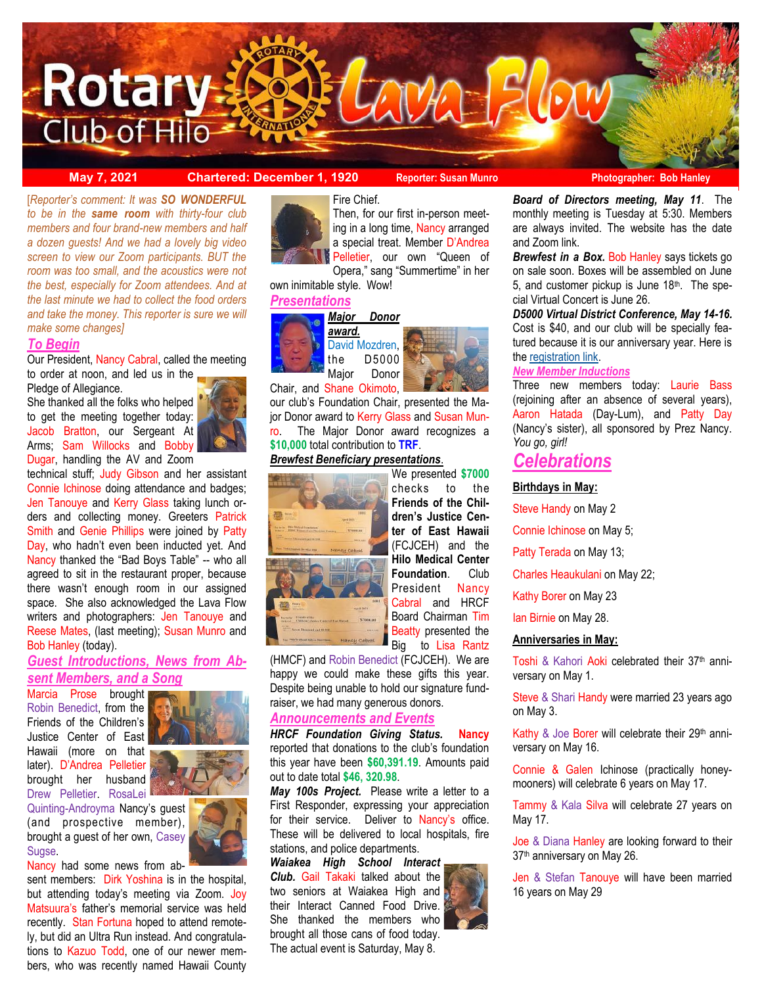

**May 7, 2021 Chartered: December 1, 1920 Reporter: Susan Munro Photographer: Bob Hanley**

 *to be in the same room with thirty-four club members and four brand-new members and half*  [*Reporter's comment: It was SO WONDERFUL a dozen guests! And we had a lovely big video screen to view our Zoom participants. BUT the room was too small, and the acoustics were not the best, especially for Zoom attendees. And at the last minute we had to collect the food orders and take the money. This reporter is sure we will make some changes]*

#### *To Begin*

Our President, Nancy Cabral, called the meeting to order at noon, and led us in the

Pledge of Allegiance.

She thanked all the folks who helped to get the meeting together today: Jacob Bratton, our Sergeant At Arms; Sam Willocks and Bobby Dugar, handling the AV and Zoom



technical stuff; Judy Gibson and her assistant Connie Ichinose doing attendance and badges; Jen Tanouye and Kerry Glass taking lunch orders and collecting money. Greeters Patrick Smith and Genie Phillips were joined by Patty Day, who hadn't even been inducted yet. And Nancy thanked the "Bad Boys Table" -- who all agreed to sit in the restaurant proper, because there wasn't enough room in our assigned space. She also acknowledged the Lava Flow writers and photographers: Jen Tanouye and Reese Mates, (last meeting); Susan Munro and Bob Hanley (today).

## *Guest Introductions, News from Absent Members, and a Song*

Marcia Prose brought Robin Benedict, from the Friends of the Children's Justice Center of East Hawaii (more on that later). D'Andrea Pelletier brought her husband Drew Pelletier. RosaLei



Quinting-Androyma Nancy's guest (and prospective member), brought a guest of her own, Casey Sugse.

Nancy had some news from ab-

sent members: Dirk Yoshina is in the hospital, but attending today's meeting via Zoom. Joy Matsuura's father's memorial service was held recently. Stan Fortuna hoped to attend remotely, but did an Ultra Run instead. And congratulations to Kazuo Todd, one of our newer members, who was recently named Hawaii County



Then, for our first in-person meeting in a long time, Nancy arranged a special treat. Member D'Andrea Pelletier, our own "Queen of

Opera," sang "Summertime" in her own inimitable style. Wow!

## *Presentations*





Chair, and Shane Okimoto,

our club's Foundation Chair, presented the Major Donor award to Kerry Glass and Susan Munro. The Major Donor award recognizes a **\$10,000** total contribution to **TRF**.

## *Brewfest Beneficiary presentations*.



We presented **\$7000**  checks to the **Friends of the Children's Justice Center of East Hawaii**  (FCJCEH) and the **Hilo Medical Center Foundation**. Club President Nancy Cabral and HRCF Board Chairman Tim Beatty presented the Big to Lisa Rantz

(HMCF) and Robin Benedict (FCJCEH). We are happy we could make these gifts this year. Despite being unable to hold our signature fundraiser, we had many generous donors.

# *Announcements and Events*

*HRCF Foundation Giving Status.* **Nancy** reported that donations to the club's foundation this year have been **\$60,391.19**. Amounts paid out to date total **\$46, 320.98**.

*May 100s Project.* Please write a letter to a First Responder, expressing your appreciation for their service. Deliver to Nancy's office. These will be delivered to local hospitals, fire stations, and police departments.

*Waiakea High School Interact Club.* Gail Takaki talked about the two seniors at Waiakea High and their Interact Canned Food Drive. She thanked the members who brought all those cans of food today. The actual event is Saturday, May 8.

*Board of Directors meeting, May 11*. The monthly meeting is Tuesday at 5:30. Members are always invited. The website has the date and Zoom link.

*Brewfest in a Box.* Bob Hanley says tickets go on sale soon. Boxes will be assembled on June 5, and customer pickup is June  $18<sup>th</sup>$ . The special Virtual Concert is June 26.

*D5000 Virtual District Conference, May 14-16.*  Cost is \$40, and our club will be specially featured because it is our anniversary year. Here is the [registration link.](https://www.crsadmin.com/EventPortal/Registrations/PublicFill/EventPublicFill.aspx?evtid=76702c33-786c-4145-bf30-e0b6e867eaa3)

### *New Member Inductions*

Three new members today: Laurie Bass (rejoining after an absence of several years), Aaron Hatada (Day-Lum), and Patty Day (Nancy's sister), all sponsored by Prez Nancy. *You go, girl!*

# *Celebrations*

#### **Birthdays in May:**

Steve Handy on May 2

Connie Ichinose on May 5;

Patty Terada on May 13;

Charles Heaukulani on May 22;

Kathy Borer on May 23

Ian Birnie on May 28.

### **Anniversaries in May:**

Toshi & Kahori Aoki celebrated their 37<sup>th</sup> anniversary on May 1.

Steve & Shari Handy were married 23 years ago on May 3.

Kathy & Joe Borer will celebrate their 29th anniversary on May 16.

Connie & Galen Ichinose (practically honeymooners) will celebrate 6 years on May 17.

Tammy & Kala Silva will celebrate 27 years on May 17.

Joe & Diana Hanley are looking forward to their 37<sup>th</sup> anniversary on May 26.

Jen & Stefan Tanouye will have been married 16 years on May 29